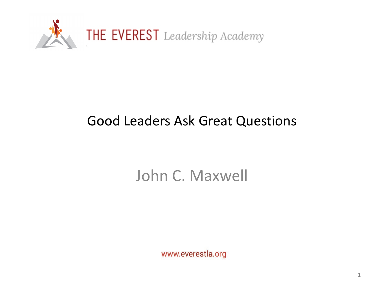

# Good Leaders Ask Great Questions

# John C. Maxwell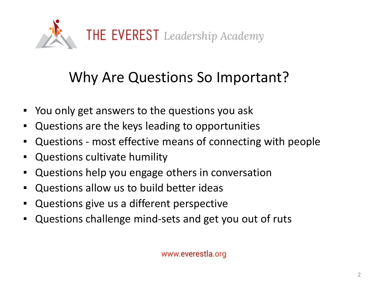

# Why Are Questions So Important?

- You only get answers to the questions you ask
- Questions are the keys leading to opportunities
- Questions most effective means of connecting with people
- Questions cultivate humility
- Questions help you engage others in conversation
- Questions allow us to build better ideas
- Questions give us a different perspective
- Questions challenge mind-sets and get you out of ruts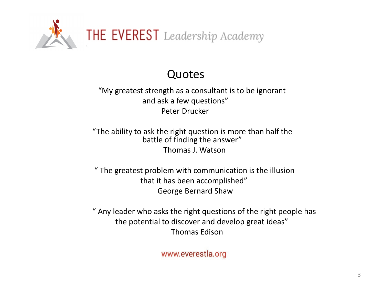

# Quotes

"My greatest strength as a consultant is to be ignorant and ask a few questions" Peter Drucker

"The ability to ask the right question is more than half the battle of finding the answer" Thomas J. Watson

" The greatest problem with communication is the illusion that it has been accomplished" George Bernard Shaw

" Any leader who asks the right questions of the right people has the potential to discover and develop great ideas" Thomas Edison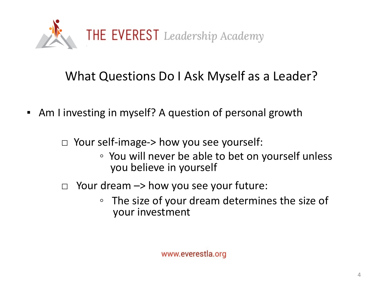

# What Questions Do I Ask Myself as a Leader?

■ Am I investing in myself? A question of personal growth

□ Your self-image-> how you see yourself:

- You will never be able to bet on yourself unless you believe in yourself
- $\Box$  Your dream  $\rightarrow$  how you see your future:
	- The size of your dream determines the size of your investment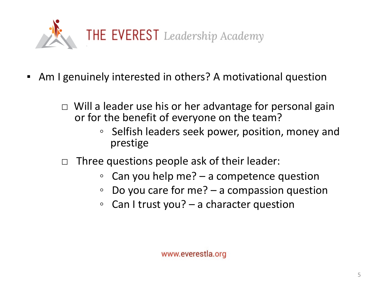

- Am I genuinely interested in others? A motivational question
	- □ Will a leader use his or her advantage for personal gain or for the benefit of everyone on the team?
		- Selfish leaders seek power, position, money and prestige
	- $\Box$  Three questions people ask of their leader:
		- Can you help me? a competence question
		- Do you care for me? a compassion question
		- Can I trust you? a character question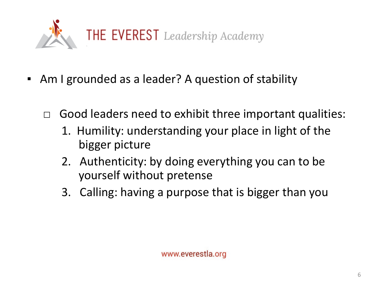

- Am I grounded as a leader? A question of stability
	- $\Box$  Good leaders need to exhibit three important qualities:
		- 1. Humility: understanding your place in light of the bigger picture
		- 2. Authenticity: by doing everything you can to be yourself without pretense
		- 3. Calling: having a purpose that is bigger than you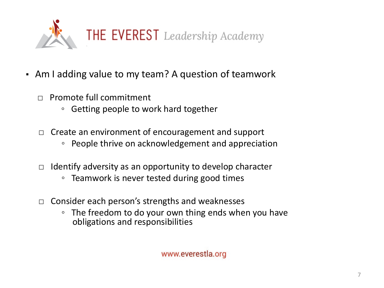

- Am I adding value to my team? A question of teamwork
	- $\Box$  Promote full commitment
		- Getting people to work hard together
	- □ Create an environment of encouragement and support
		- People thrive on acknowledgement and appreciation
	- $\Box$  Identify adversity as an opportunity to develop character
		- Teamwork is never tested during good times
	- □ Consider each person's strengths and weaknesses
		- The freedom to do your own thing ends when you have obligations and responsibilities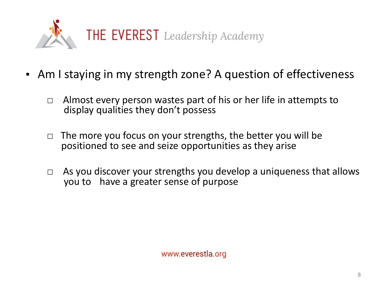

- Am I staying in my strength zone? A question of effectiveness
	- □ Almost every person wastes part of his or her life in attempts to display qualities they don't possess
	- $\Box$  The more you focus on your strengths, the better you will be positioned to see and seize opportunities as they arise
	- $\Box$  As you discover your strengths you develop a uniqueness that allows you to have a greater sense of purpose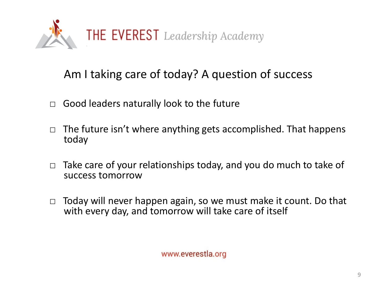

# Am I taking care of today? A question of success

- $\Box$  Good leaders naturally look to the future
- $\Box$  The future isn't where anything gets accomplished. That happens today
- $\Box$  Take care of your relationships today, and you do much to take of success tomorrow
- □ Today will never happen again, so we must make it count. Do that with every day, and tomorrow will take care of itself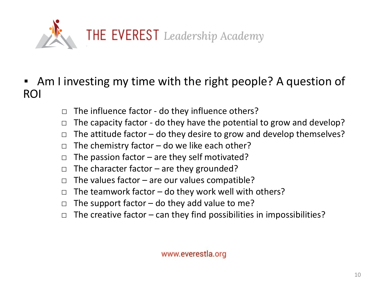

- Am I investing my time with the right people? A question of ROI
	- $\Box$  The influence factor do they influence others?
	- $\Box$  The capacity factor do they have the potential to grow and develop?
	- $\Box$  The attitude factor do they desire to grow and develop themselves?
	- $\Box$  The chemistry factor do we like each other?
	- $\Box$  The passion factor are they self motivated?
	- $\Box$  The character factor are they grounded?
	- $\Box$  The values factor are our values compatible?
	- $\Box$  The teamwork factor do they work well with others?
	- $\Box$  The support factor do they add value to me?
	- $\Box$  The creative factor can they find possibilities in impossibilities?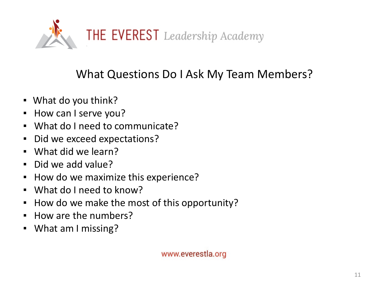

# What Questions Do I Ask My Team Members?

- What do you think?
- How can I serve you?
- What do I need to communicate?
- Did we exceed expectations?
- What did we learn?
- Did we add value?
- How do we maximize this experience?
- What do I need to know?
- How do we make the most of this opportunity?
- How are the numbers?
- What am I missing?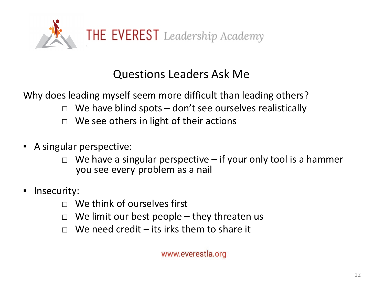

# Questions Leaders Ask Me

Why does leading myself seem more difficult than leading others?

- $\Box$  We have blind spots don't see ourselves realistically
- $\Box$  We see others in light of their actions
- A singular perspective:
	- $\Box$  We have a singular perspective if your only tool is a hammer you see every problem as a nail
- Insecurity:
	- □ We think of ourselves first
	- $\Box$  We limit our best people they threaten us
	- $\Box$  We need credit its irks them to share it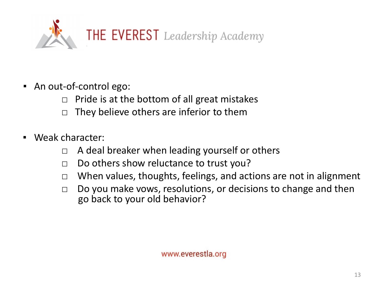

- An out-of-control ego:
	- $\Box$  Pride is at the bottom of all great mistakes
	- $\Box$  They believe others are inferior to them
- Weak character:
	- $\Box$  A deal breaker when leading yourself or others
	- □ Do others show reluctance to trust you?
	- □ When values, thoughts, feelings, and actions are not in alignment
	- $\Box$  Do you make vows, resolutions, or decisions to change and then go back to your old behavior?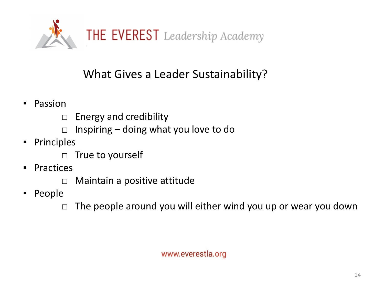

# What Gives a Leader Sustainability?

- Passion
	- □ Energy and credibility
	- $\Box$  Inspiring doing what you love to do
- Principles
	- □ True to yourself
- Practices
	- □ Maintain a positive attitude
- People

 $\Box$  The people around you will either wind you up or wear you down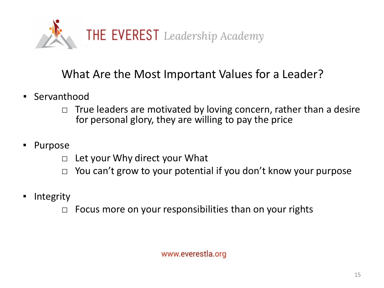

# What Are the Most Important Values for a Leader?

- Servanthood
	- $\Box$  True leaders are motivated by loving concern, rather than a desire for personal glory, they are willing to pay the price
- Purpose
	- $\Box$  Let your Why direct your What
	- $\Box$  You can't grow to your potential if you don't know your purpose
- Integrity
	- $\Box$  Focus more on your responsibilities than on your rights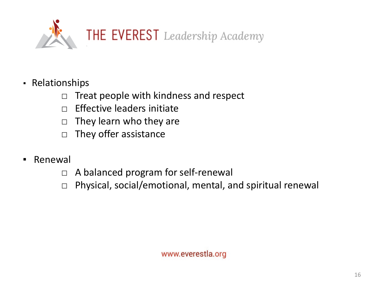

- Relationships
	- $\Box$  Treat people with kindness and respect
	- $\Box$  Effective leaders initiate
	- $\Box$  They learn who they are
	- $\Box$  They offer assistance
- Renewal
	- □ A balanced program for self-renewal
	- □ Physical, social/emotional, mental, and spiritual renewal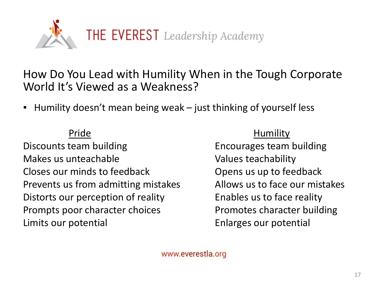

## How Do You Lead with Humility When in the Tough Corporate World It's Viewed as a Weakness?

■ Humility doesn't mean being weak – just thinking of yourself less

Discounts team building Encourages team building Makes us unteachable Values teachability Closes our minds to feedback Closes our minds to feedback Prevents us from admitting mistakes Allows us to face our mistakes Distorts our perception of reality Enables us to face reality Prompts poor character choices extending Promotes character building Limits our potential example and the Enlarges our potential

### Pride Humility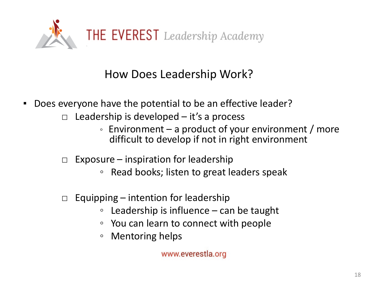

# How Does Leadership Work?

- Does everyone have the potential to be an effective leader?
	- $\Box$  Leadership is developed it's a process
		- Environment a product of your environment / more difficult to develop if not in right environment
	- $\Box$  Exposure inspiration for leadership
		- Read books; listen to great leaders speak
	- $\Box$  Equipping intention for leadership
		- Leadership is influence can be taught
		- You can learn to connect with people
		- Mentoring helps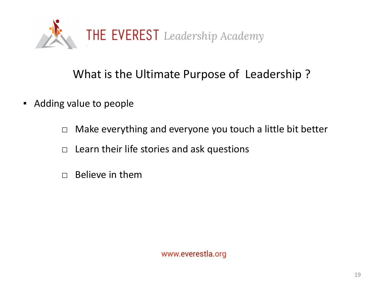

# What is the Ultimate Purpose of Leadership ?

- Adding value to people
	- □ Make everything and everyone you touch a little bit better
	- $\Box$  Learn their life stories and ask questions
	- $\Box$  Believe in them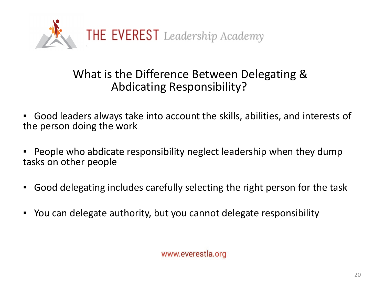

# What is the Difference Between Delegating & Abdicating Responsibility?

▪ Good leaders always take into account the skills, abilities, and interests of the person doing the work

- People who abdicate responsibility neglect leadership when they dump tasks on other people
- Good delegating includes carefully selecting the right person for the task
- You can delegate authority, but you cannot delegate responsibility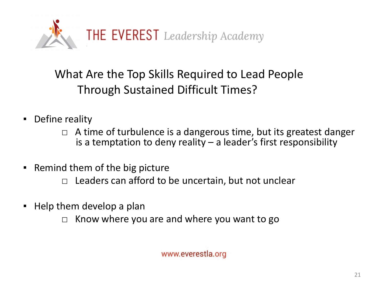

# What Are the Top Skills Required to Lead People Through Sustained Difficult Times?

- Define reality
	- $\Box$  A time of turbulence is a dangerous time, but its greatest danger is a temptation to deny reality – a leader's first responsibility
- Remind them of the big picture
	- $\Box$  Leaders can afford to be uncertain, but not unclear
- Help them develop a plan
	- $\Box$  Know where you are and where you want to go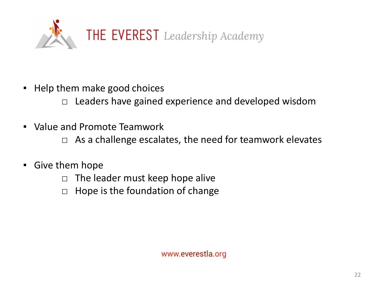

■ Help them make good choices

 $\Box$  Leaders have gained experience and developed wisdom

▪ Value and Promote Teamwork

 $\Box$  As a challenge escalates, the need for teamwork elevates

- **E** Give them hope
	- $\Box$  The leader must keep hope alive
	- $\Box$  Hope is the foundation of change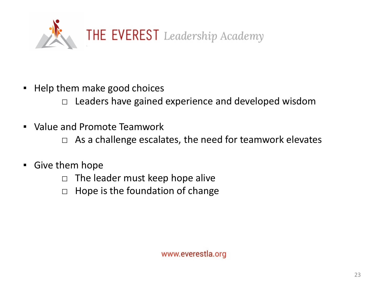

■ Help them make good choices

 $\Box$  Leaders have gained experience and developed wisdom

▪ Value and Promote Teamwork

 $\Box$  As a challenge escalates, the need for teamwork elevates

- **E** Give them hope
	- $\Box$  The leader must keep hope alive
	- $\Box$  Hope is the foundation of change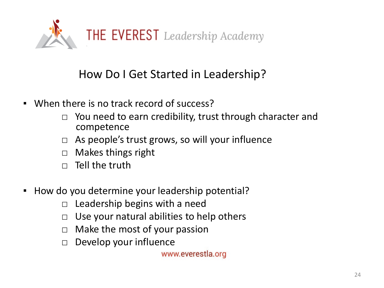

# How Do I Get Started in Leadership?

- When there is no track record of success?
	- □ You need to earn credibility, trust through character and competence
	- $\Box$  As people's trust grows, so will your influence
	- □ Makes things right
	- $\Box$  Tell the truth
- How do you determine your leadership potential?
	- $\Box$  Leadership begins with a need
	- $\Box$  Use your natural abilities to help others
	- $\Box$  Make the most of your passion
	- □ Develop your influence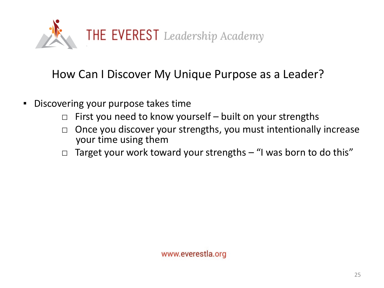

# How Can I Discover My Unique Purpose as a Leader?

- Discovering your purpose takes time
	- $\Box$  First you need to know yourself built on your strengths
	- $\Box$  Once you discover your strengths, you must intentionally increase your time using them
	- $\Box$  Target your work toward your strengths  $-$  "I was born to do this"